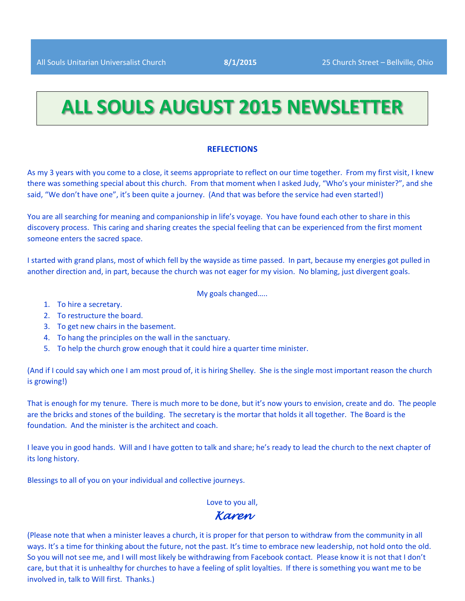# **ALL SOULS AUGUST 2015 NEWSLETTER**

#### **REFLECTIONS**

As my 3 years with you come to a close, it seems appropriate to reflect on our time together. From my first visit, I knew there was something special about this church. From that moment when I asked Judy, "Who's your minister?", and she said, "We don't have one", it's been quite a journey. (And that was before the service had even started!)

You are all searching for meaning and companionship in life's voyage. You have found each other to share in this discovery process. This caring and sharing creates the special feeling that can be experienced from the first moment someone enters the sacred space.

I started with grand plans, most of which fell by the wayside as time passed. In part, because my energies got pulled in another direction and, in part, because the church was not eager for my vision. No blaming, just divergent goals.

My goals changed…..

- 1. To hire a secretary.
- 2. To restructure the board.
- 3. To get new chairs in the basement.
- 4. To hang the principles on the wall in the sanctuary.
- 5. To help the church grow enough that it could hire a quarter time minister.

(And if I could say which one I am most proud of, it is hiring Shelley. She is the single most important reason the church is growing!)

That is enough for my tenure. There is much more to be done, but it's now yours to envision, create and do. The people are the bricks and stones of the building. The secretary is the mortar that holds it all together. The Board is the foundation. And the minister is the architect and coach.

I leave you in good hands. Will and I have gotten to talk and share; he's ready to lead the church to the next chapter of its long history.

Blessings to all of you on your individual and collective journeys.

Love to you all,

*Karen* 

(Please note that when a minister leaves a church, it is proper for that person to withdraw from the community in all ways. It's a time for thinking about the future, not the past. It's time to embrace new leadership, not hold onto the old. So you will not see me, and I will most likely be withdrawing from Facebook contact. Please know it is not that I don't care, but that it is unhealthy for churches to have a feeling of split loyalties. If there is something you want me to be involved in, talk to Will first. Thanks.)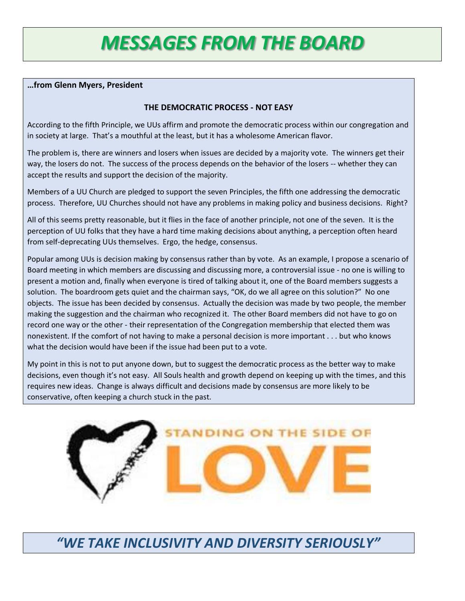# *MESSAGES FROM THE BOARD*

#### **…from Glenn Myers, President**

#### **THE DEMOCRATIC PROCESS - NOT EASY**

According to the fifth Principle, we UUs affirm and promote the democratic process within our congregation and in society at large. That's a mouthful at the least, but it has a wholesome American flavor.

The problem is, there are winners and losers when issues are decided by a majority vote. The winners get their way, the losers do not. The success of the process depends on the behavior of the losers -- whether they can accept the results and support the decision of the majority.

Members of a UU Church are pledged to support the seven Principles, the fifth one addressing the democratic process. Therefore, UU Churches should not have any problems in making policy and business decisions. Right?

All of this seems pretty reasonable, but it flies in the face of another principle, not one of the seven. It is the perception of UU folks that they have a hard time making decisions about anything, a perception often heard from self-deprecating UUs themselves. Ergo, the hedge, consensus.

Popular among UUs is decision making by consensus rather than by vote. As an example, I propose a scenario of Board meeting in which members are discussing and discussing more, a controversial issue - no one is willing to present a motion and, finally when everyone is tired of talking about it, one of the Board members suggests a solution. The boardroom gets quiet and the chairman says, "OK, do we all agree on this solution?" No one objects. The issue has been decided by consensus. Actually the decision was made by two people, the member making the suggestion and the chairman who recognized it. The other Board members did not have to go on record one way or the other - their representation of the Congregation membership that elected them was nonexistent. If the comfort of not having to make a personal decision is more important . . . but who knows what the decision would have been if the issue had been put to a vote.

My point in this is not to put anyone down, but to suggest the democratic process as the better way to make decisions, even though it's not easy. All Souls health and growth depend on keeping up with the times, and this requires new ideas. Change is always difficult and decisions made by consensus are more likely to be conservative, often keeping a church stuck in the past.



*"WE TAKE INCLUSIVITY AND DIVERSITY SERIOUSLY"*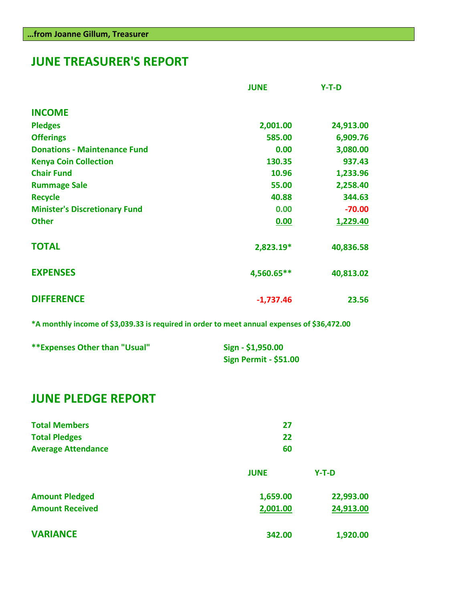# **JUNE TREASURER'S REPORT**

|                                      | <b>JUNE</b> | $Y-T-D$   |
|--------------------------------------|-------------|-----------|
| <b>INCOME</b>                        |             |           |
| <b>Pledges</b>                       | 2,001.00    | 24,913.00 |
| <b>Offerings</b>                     | 585.00      | 6,909.76  |
| <b>Donations - Maintenance Fund</b>  | 0.00        | 3,080.00  |
| <b>Kenya Coin Collection</b>         | 130.35      | 937.43    |
| <b>Chair Fund</b>                    | 10.96       | 1,233.96  |
| <b>Rummage Sale</b>                  | 55.00       | 2,258.40  |
| <b>Recycle</b>                       | 40.88       | 344.63    |
| <b>Minister's Discretionary Fund</b> | 0.00        | $-70.00$  |
| <b>Other</b>                         | 0.00        | 1,229.40  |
| <b>TOTAL</b>                         | 2,823.19*   | 40,836.58 |
| <b>EXPENSES</b>                      | 4,560.65**  | 40,813.02 |
| <b>DIFFERENCE</b>                    | $-1,737.46$ | 23.56     |

**\*A monthly income of \$3,039.33 is required in order to meet annual expenses of \$36,472.00**

| ** Expenses Other than "Usual" | Sign - \$1,950.00            |  |
|--------------------------------|------------------------------|--|
|                                | <b>Sign Permit - \$51.00</b> |  |

## **JUNE PLEDGE REPORT**

| <b>Total Members</b>      | 27<br>22    |           |
|---------------------------|-------------|-----------|
| <b>Total Pledges</b>      |             |           |
| <b>Average Attendance</b> | 60          |           |
|                           | <b>JUNE</b> | $Y-T-D$   |
| <b>Amount Pledged</b>     | 1,659.00    | 22,993.00 |
| <b>Amount Received</b>    | 2,001.00    | 24,913.00 |
| <b>VARIANCE</b>           | 342.00      | 1,920.00  |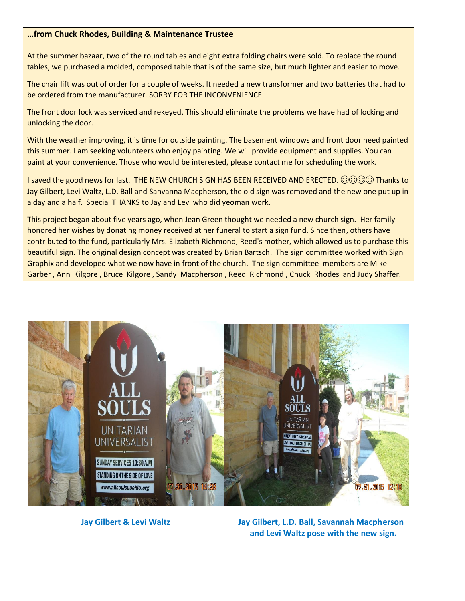#### **…from Chuck Rhodes, Building & Maintenance Trustee**

At the summer bazaar, two of the round tables and eight extra folding chairs were sold. To replace the round tables, we purchased a molded, composed table that is of the same size, but much lighter and easier to move.

The chair lift was out of order for a couple of weeks. It needed a new transformer and two batteries that had to be ordered from the manufacturer. SORRY FOR THE INCONVENIENCE.

The front door lock was serviced and rekeyed. This should eliminate the problems we have had of locking and unlocking the door.

With the weather improving, it is time for outside painting. The basement windows and front door need painted this summer. I am seeking volunteers who enjoy painting. We will provide equipment and supplies. You can paint at your convenience. Those who would be interested, please contact me for scheduling the work.

I saved the good news for last. THE NEW CHURCH SIGN HAS BEEN RECEIVED AND ERECTED. ۞ ۞ Thanks to Jay Gilbert, Levi Waltz, L.D. Ball and Sahvanna Macpherson, the old sign was removed and the new one put up in a day and a half. Special THANKS to Jay and Levi who did yeoman work.

This project began about five years ago, when Jean Green thought we needed a new church sign. Her family honored her wishes by donating money received at her funeral to start a sign fund. Since then, others have contributed to the fund, particularly Mrs. Elizabeth Richmond, Reed's mother, which allowed us to purchase this beautiful sign. The original design concept was created by Brian Bartsch. The sign committee worked with Sign Graphix and developed what we now have in front of the church. The sign committee members are Mike Garber , Ann Kilgore , Bruce Kilgore , Sandy Macpherson , Reed Richmond , Chuck Rhodes and Judy Shaffer.



 **Jay Gilbert & Levi Waltz Jay Gilbert, L.D. Ball, Savannah Macpherson and Levi Waltz pose with the new sign.**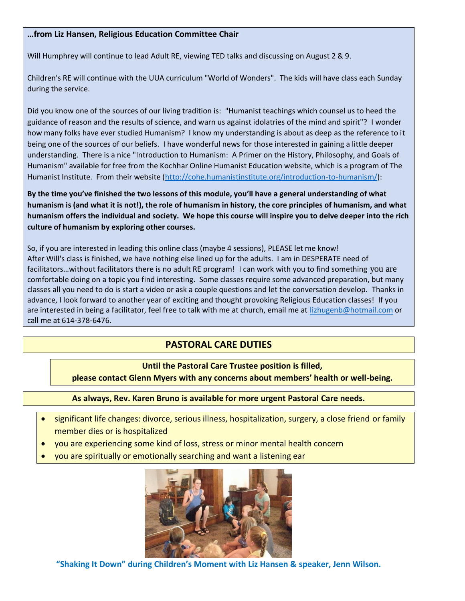#### **…from Liz Hansen, Religious Education Committee Chair**

Will Humphrey will continue to lead Adult RE, viewing TED talks and discussing on August 2 & 9.

Children's RE will continue with the UUA curriculum "World of Wonders". The kids will have class each Sunday during the service.

Did you know one of the sources of our living tradition is: "Humanist teachings which counsel us to heed the guidance of reason and the results of science, and warn us against idolatries of the mind and spirit"? I wonder how many folks have ever studied Humanism? I know my understanding is about as deep as the reference to it being one of the sources of our beliefs. I have wonderful news for those interested in gaining a little deeper understanding. There is a nice "Introduction to Humanism: A Primer on the History, Philosophy, and Goals of Humanism" available for free from the Kochhar Online Humanist Education website, which is a program of The Humanist Institute. From their website [\(http://cohe.humanistinstitute.org/introduction-to-humanism/\)](http://cohe.humanistinstitute.org/introduction-to-humanism/):

**By the time you've finished the two lessons of this module, you'll have a general understanding of what humanism is (and what it is not!), the role of humanism in history, the core principles of humanism, and what humanism offers the individual and society. We hope this course will inspire you to delve deeper into the rich culture of humanism by exploring other courses.**

So, if you are interested in leading this online class (maybe 4 sessions), PLEASE let me know! After Will's class is finished, we have nothing else lined up for the adults. I am in DESPERATE need of facilitators…without facilitators there is no adult RE program! I can work with you to find something you are comfortable doing on a topic you find interesting. Some classes require some advanced preparation, but many classes all you need to do is start a video or ask a couple questions and let the conversation develop. Thanks in advance, I look forward to another year of exciting and thought provoking Religious Education classes! If you are interested in being a facilitator, feel free to talk with me at church, email me at [lizhugenb@hotmail.com](mailto:lizhugenb@hotmail.com) or call me at 614-378-6476.

### **PASTORAL CARE DUTIES**

**Until the Pastoral Care Trustee position is filled,** 

**please contact Glenn Myers with any concerns about members' health or well-being.** 

#### **As always, Rev. Karen Bruno is available for more urgent Pastoral Care needs.**

- significant life changes: divorce, serious illness, hospitalization, surgery, a close friend or family member dies or is hospitalized
- you are experiencing some kind of loss, stress or minor mental health concern
- you are spiritually or emotionally searching and want a listening ear



**"Shaking It Down" during Children's Moment with Liz Hansen & speaker, Jenn Wilson.**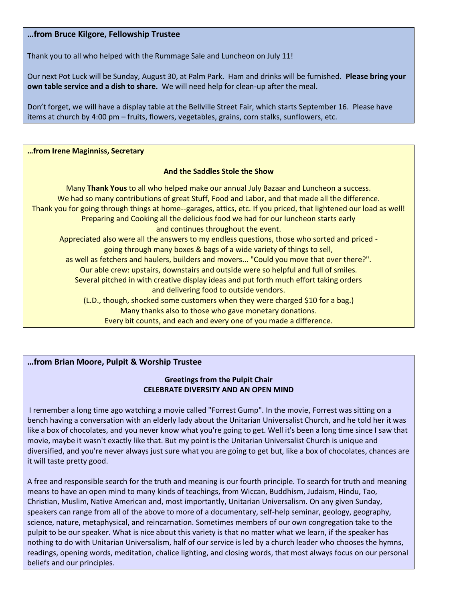#### **…from Bruce Kilgore, Fellowship Trustee**

Thank you to all who helped with the Rummage Sale and Luncheon on July 11!

Our next Pot Luck will be Sunday, August 30, at Palm Park. Ham and drinks will be furnished. **Please bring your own table service and a dish to share.** We will need help for clean-up after the meal.

Don't forget, we will have a display table at the Bellville Street Fair, which starts September 16. Please have items at church by 4:00 pm – fruits, flowers, vegetables, grains, corn stalks, sunflowers, etc.

**…from Irene Maginniss, Secretary**

#### **And the Saddles Stole the Show**

Many **Thank Yous** to all who helped make our annual July Bazaar and Luncheon a success. We had so many contributions of great Stuff, Food and Labor, and that made all the difference. Thank you for going through things at home--garages, attics, etc. If you priced, that lightened our load as well! Preparing and Cooking all the delicious food we had for our luncheon starts early and continues throughout the event. Appreciated also were all the answers to my endless questions, those who sorted and priced going through many boxes & bags of a wide variety of things to sell, as well as fetchers and haulers, builders and movers... "Could you move that over there?". Our able crew: upstairs, downstairs and outside were so helpful and full of smiles. Several pitched in with creative display ideas and put forth much effort taking orders and delivering food to outside vendors. (L.D., though, shocked some customers when they were charged \$10 for a bag.) Many thanks also to those who gave monetary donations. Every bit counts, and each and every one of you made a difference.

#### **…from Brian Moore, Pulpit & Worship Trustee**

#### **Greetings from the Pulpit Chair CELEBRATE DIVERSITY AND AN OPEN MIND**

I remember a long time ago watching a movie called "Forrest Gump". In the movie, Forrest was sitting on a bench having a conversation with an elderly lady about the Unitarian Universalist Church, and he told her it was like a box of chocolates, and you never know what you're going to get. Well it's been a long time since I saw that movie, maybe it wasn't exactly like that. But my point is the Unitarian Universalist Church is unique and diversified, and you're never always just sure what you are going to get but, like a box of chocolates, chances are it will taste pretty good.

A free and responsible search for the truth and meaning is our fourth principle. To search for truth and meaning means to have an open mind to many kinds of teachings, from Wiccan, Buddhism, Judaism, Hindu, Tao, Christian, Muslim, Native American and, most importantly, Unitarian Universalism. On any given Sunday, speakers can range from all of the above to more of a documentary, self-help seminar, geology, geography, science, nature, metaphysical, and reincarnation. Sometimes members of our own congregation take to the pulpit to be our speaker. What is nice about this variety is that no matter what we learn, if the speaker has nothing to do with Unitarian Universalism, half of our service is led by a church leader who chooses the hymns, readings, opening words, meditation, chalice lighting, and closing words, that most always focus on our personal beliefs and our principles.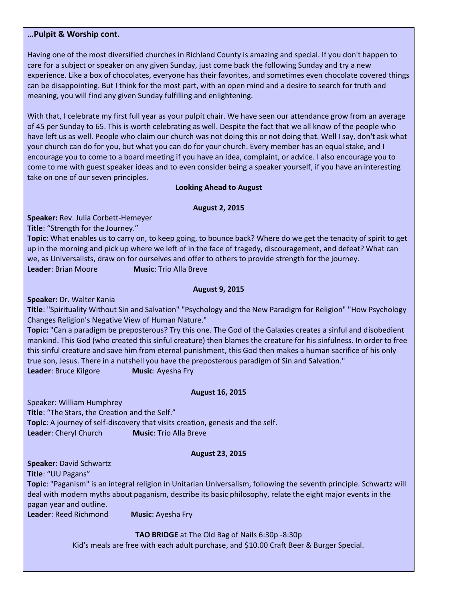#### **…Pulpit & Worship cont.**

Having one of the most diversified churches in Richland County is amazing and special. If you don't happen to care for a subject or speaker on any given Sunday, just come back the following Sunday and try a new experience. Like a box of chocolates, everyone has their favorites, and sometimes even chocolate covered things can be disappointing. But I think for the most part, with an open mind and a desire to search for truth and meaning, you will find any given Sunday fulfilling and enlightening.

With that, I celebrate my first full year as your pulpit chair. We have seen our attendance grow from an average of 45 per Sunday to 65. This is worth celebrating as well. Despite the fact that we all know of the people who have left us as well. People who claim our church was not doing this or not doing that. Well I say, don't ask what your church can do for you, but what you can do for your church. Every member has an equal stake, and I encourage you to come to a board meeting if you have an idea, complaint, or advice. I also encourage you to come to me with guest speaker ideas and to even consider being a speaker yourself, if you have an interesting take on one of our seven principles.

#### **Looking Ahead to August**

#### **August 2, 2015**

**Speaker:** Rev. Julia Corbett-Hemeyer **Title**: "Strength for the Journey."

**Topic**: What enables us to carry on, to keep going, to bounce back? Where do we get the tenacity of spirit to get up in the morning and pick up where we left of in the face of tragedy, discouragement, and defeat? What can we, as Universalists, draw on for ourselves and offer to others to provide strength for the journey. **Leader**: Brian Moore **Music**: Trio Alla Breve

#### **August 9, 2015**

**Speaker:** Dr. Walter Kania

**Title**: "Spirituality Without Sin and Salvation" "Psychology and the New Paradigm for Religion" "How Psychology Changes Religion's Negative View of Human Nature."

**Topic:** "Can a paradigm be preposterous? Try this one. The God of the Galaxies creates a sinful and disobedient mankind. This God (who created this sinful creature) then blames the creature for his sinfulness. In order to free this sinful creature and save him from eternal punishment, this God then makes a human sacrifice of his only true son, Jesus. There in a nutshell you have the preposterous paradigm of Sin and Salvation." **Leader**: Bruce Kilgore **Music**: Ayesha Fry

#### **August 16, 2015**

Speaker: William Humphrey **Title**: "The Stars, the Creation and the Self." **Topic**: A journey of self-discovery that visits creation, genesis and the self. **Leader**: Cheryl Church **Music**: Trio Alla Breve

#### **August 23, 2015**

**Speaker**: David Schwartz **Title**: "UU Pagans"

**Topic**: "Paganism" is an integral religion in Unitarian Universalism, following the seventh principle. Schwartz will deal with modern myths about paganism, describe its basic philosophy, relate the eight major events in the pagan year and outline.

**Leader**: Reed Richmond **Music**: Ayesha Fry

**TAO BRIDGE** at The Old Bag of Nails 6:30p -8:30p

Kid's meals are free with each adult purchase, and \$10.00 Craft Beer & Burger Special.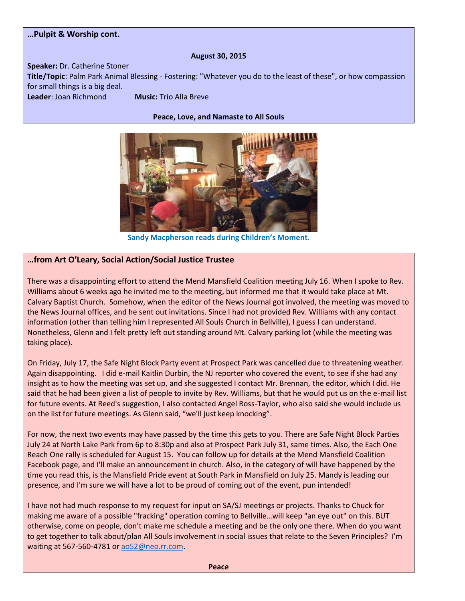#### **…Pulpit & Worship cont.**

#### **August 30, 2015**

**Speaker:** Dr. Catherine Stoner **Title/Topic**: Palm Park Animal Blessing - Fostering: "Whatever you do to the least of these", or how compassion for small things is a big deal. **Leader**: Joan Richmond **Music:** Trio Alla Breve

**Peace, Love, and Namaste to All Souls**



**Sandy Macpherson reads during Children's Moment.**

#### **…from Art O'Leary, Social Action/Social Justice Trustee**

There was a disappointing effort to attend the Mend Mansfield Coalition meeting July 16. When I spoke to Rev. Williams about 6 weeks ago he invited me to the meeting, but informed me that it would take place at Mt. Calvary Baptist Church. Somehow, when the editor of the News Journal got involved, the meeting was moved to the News Journal offices, and he sent out invitations. Since I had not provided Rev. Williams with any contact information (other than telling him I represented All Souls Church in Bellville), I guess I can understand. Nonetheless, Glenn and I felt pretty left out standing around Mt. Calvary parking lot (while the meeting was taking place).

On Friday, July 17, the Safe Night Block Party event at Prospect Park was cancelled due to threatening weather. Again disappointing. I did e-mail Kaitlin Durbin, the NJ reporter who covered the event, to see if she had any insight as to how the meeting was set up, and she suggested I contact Mr. Brennan, the editor, which I did. He said that he had been given a list of people to invite by Rev. Williams, but that he would put us on the e-mail list for future events. At Reed's suggestion, I also contacted Angel Ross-Taylor, who also said she would include us on the list for future meetings. As Glenn said, "we'll just keep knocking".

For now, the next two events may have passed by the time this gets to you. There are Safe Night Block Parties July 24 at North Lake Park from 6p to 8:30p and also at Prospect Park July 31, same times. Also, the Each One Reach One rally is scheduled for August 15. You can follow up for details at the Mend Mansfield Coalition Facebook page, and I'll make an announcement in church. Also, in the category of will have happened by the time you read this, is the Mansfield Pride event at South Park in Mansfield on July 25. Mandy is leading our presence, and I'm sure we will have a lot to be proud of coming out of the event, pun intended!

I have not had much response to my request for input on SA/SJ meetings or projects. Thanks to Chuck for making me aware of a possible "fracking" operation coming to Bellville…will keep "an eye out" on this. BUT otherwise, come on people, don't make me schedule a meeting and be the only one there. When do you want to get together to talk about/plan All Souls involvement in social issues that relate to the Seven Principles? I'm waiting at 567-560-4781 or [ao52@neo.rr.com.](mailto:ao52@neo.rr.com)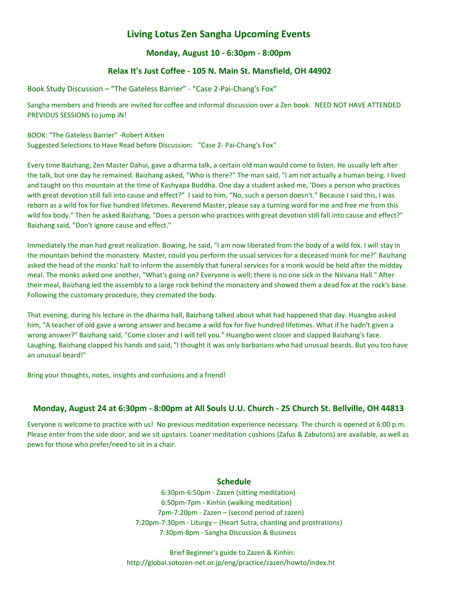## **Living Lotus Zen Sangha Upcoming Events**

#### **Monday, August 10 - 6:30pm - 8:00pm**

#### **Relax It's Just Coffee - 105 N. Main St. Mansfield, OH 44902**

Book Study Discussion – "The Gateless Barrier" - ["Case 2-Pai-Chang's Fox"](https://www.facebook.com/events/1446560768990499/?ref=1&action_history=%5B%7B%22surface%22%3A%22permalink%22%2C%22mechanism%22%3A%22surface%22%2C%22extra_data%22%3A%5B%5D%7D%5D)

Sangha members and friends are invited for coffee and informal discussion over a Zen book. NEED NOT HAVE ATTENDED PREVIOUS SESSIONS to jump iN!

BOOK: "The Gateless Barrier" -Robert Aitken Suggested Selections to Have Read before Discussion: "Case 2- Pai-Chang's Fox"

Every time Baizhang, Zen Master Dahui, gave a dharma talk, a certain old man would come to listen. He usually left after the talk, but one day he remained. Baizhang asked, "Who is there?" The man said, "I am not actually a human being. I lived and taught on this mountain at the time of Kashyapa Buddha. One day a student asked me, 'Does a person who practices with great devotion still fall into cause and effect?" I said to him, "No, such a person doesn't." Because I said this, I was reborn as a wild fox for five hundred lifetimes. Reverend Master, please say a turning word for me and free me from this wild fox body." Then he asked Baizhang, "Does a person who practices with great devotion still fall into cause and effect?" Baizhang said, "Don't ignore cause and effect."

Immediately the man had great realization. Bowing, he said, "I am now liberated from the body of a wild fox. I will stay in the mountain behind the monastery. Master, could you perform the usual services for a deceased monk for me?" Baizhang asked the head of the monks' hall to inform the assembly that funeral services for a monk would be held after the midday meal. The monks asked one another, "What's going on? Everyone is well; there is no one sick in the Nirvana Hall." After their meal, Baizhang led the assembly to a large rock behind the monastery and showed them a dead fox at the rock's base. Following the customary procedure, they cremated the body.

That evening, during his lecture in the dharma hall, Baizhang talked about what had happened that day. Huangbo asked him, "A teacher of old gave a wrong answer and became a wild fox for five hundred lifetimes. What if he hadn't given a wrong answer?" Baizhang said, "Come closer and I will tell you." Huangbo went closer and slapped Baizhang's face. Laughing, Baizhang clapped his hands and said, "I thought it was only barbarians who had unusual beards. But you too have an unusual beard!"

Bring your thoughts, notes, insights and confusions and a friend!

#### **Monday, August 24 at 6:30pm - 8:00pm at All Souls U.U. Church - 25 Church St. Bellville, OH 44813**

Everyone is welcome to practice with us! No previous meditation experience necessary. The church is opened at 6:00 p.m. Please enter from the side door, and we sit upstairs. Loaner meditation cushions (Zafus & Zabutons) are available, as well as pews for those who prefer/need to sit in a chair.

#### **Schedule**

 6:30pm-6:50pm - Zazen (sitting meditation) 6:50pm-7pm - Kinhin (walking meditation) 7pm-7:20pm - Zazen – (second period of zazen) 7:20pm-7:30pm - Liturgy – (Heart Sutra, chanting and prostrations) 7:30pm-8pm - Sangha Discussion & Business

 Brief Beginner's guide to Zazen & Kinhin: http://global.sotozen-net.or.jp/eng/practice/zazen/howto/index.ht